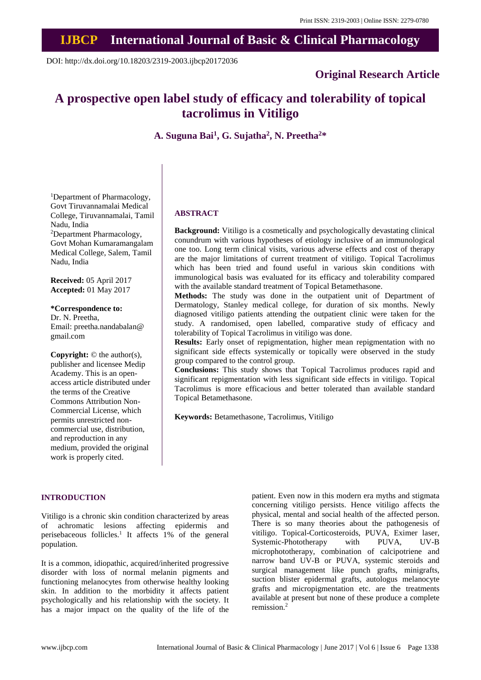## **IJBCP International Journal of Basic & Clinical Pharmacology**

DOI: http://dx.doi.org/10.18203/2319-2003.ijbcp20172036

### **Original Research Article**

# **A prospective open label study of efficacy and tolerability of topical tacrolimus in Vitiligo**

**A. Suguna Bai<sup>1</sup> , G. Sujatha<sup>2</sup> , N. Preetha<sup>2</sup>\***

<sup>1</sup>Department of Pharmacology, Govt Tiruvannamalai Medical College, Tiruvannamalai, Tamil Nadu, India <sup>2</sup>Department Pharmacology, Govt Mohan Kumaramangalam Medical College, Salem, Tamil Nadu, India

**Received:** 05 April 2017 **Accepted:** 01 May 2017

**\*Correspondence to:**

Dr. N. Preetha, Email: preetha.nandabalan@ gmail.com

**Copyright:** © the author(s), publisher and licensee Medip Academy. This is an openaccess article distributed under the terms of the Creative Commons Attribution Non-Commercial License, which permits unrestricted noncommercial use, distribution, and reproduction in any medium, provided the original work is properly cited.

#### **ABSTRACT**

**Background:** Vitiligo is a cosmetically and psychologically devastating clinical conundrum with various hypotheses of etiology inclusive of an immunological one too. Long term clinical visits, various adverse effects and cost of therapy are the major limitations of current treatment of vitiligo. Topical Tacrolimus which has been tried and found useful in various skin conditions with immunological basis was evaluated for its efficacy and tolerability compared with the available standard treatment of Topical Betamethasone.

**Methods:** The study was done in the outpatient unit of Department of Dermatology, Stanley medical college, for duration of six months. Newly diagnosed vitiligo patients attending the outpatient clinic were taken for the study. A randomised, open labelled, comparative study of efficacy and tolerability of Topical Tacrolimus in vitiligo was done.

**Results:** Early onset of repigmentation, higher mean repigmentation with no significant side effects systemically or topically were observed in the study group compared to the control group.

**Conclusions:** This study shows that Topical Tacrolimus produces rapid and significant repigmentation with less significant side effects in vitiligo. Topical Tacrolimus is more efficacious and better tolerated than available standard Topical Betamethasone.

**Keywords:** Betamethasone, Tacrolimus, Vitiligo

#### **INTRODUCTION**

Vitiligo is a chronic skin condition characterized by areas of achromatic lesions affecting epidermis and perisebaceous follicles. 1 It affects 1% of the general population.

It is a common, idiopathic, acquired/inherited progressive disorder with loss of normal melanin pigments and functioning melanocytes from otherwise healthy looking skin. In addition to the morbidity it affects patient psychologically and his relationship with the society. It has a major impact on the quality of the life of the patient. Even now in this modern era myths and stigmata concerning vitiligo persists. Hence vitiligo affects the physical, mental and social health of the affected person. There is so many theories about the pathogenesis of vitiligo. Topical-Corticosteroids, PUVA, Eximer laser, Systemic-Phototherapy with PUVA, UV-B microphototherapy, combination of calcipotriene and narrow band UV-B or PUVA, systemic steroids and surgical management like punch grafts, minigrafts, suction blister epidermal grafts, autologus melanocyte grafts and micropigmentation etc. are the treatments available at present but none of these produce a complete remission. 2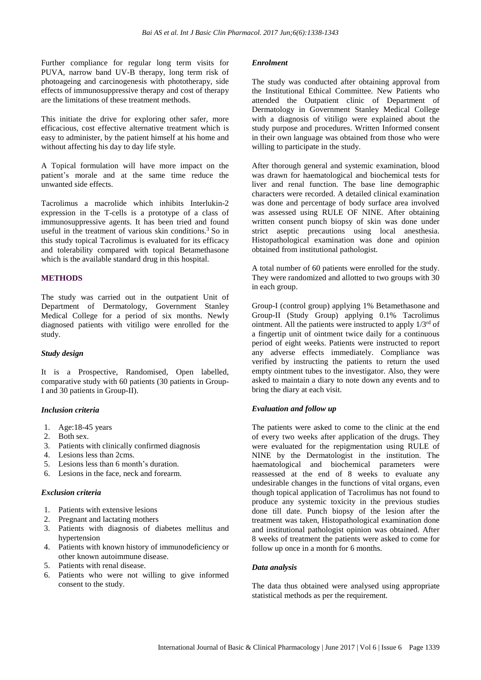Further compliance for regular long term visits for PUVA, narrow band UV-B therapy, long term risk of photoageing and carcinogenesis with phototherapy, side effects of immunosuppressive therapy and cost of therapy are the limitations of these treatment methods.

This initiate the drive for exploring other safer, more efficacious, cost effective alternative treatment which is easy to administer, by the patient himself at his home and without affecting his day to day life style.

A Topical formulation will have more impact on the patient's morale and at the same time reduce the unwanted side effects.

Tacrolimus a macrolide which inhibits Interlukin-2 expression in the T-cells is a prototype of a class of immunosuppressive agents. It has been tried and found useful in the treatment of various skin conditions. <sup>3</sup> So in this study topical Tacrolimus is evaluated for its efficacy and tolerability compared with topical Betamethasone which is the available standard drug in this hospital.

#### **METHODS**

The study was carried out in the outpatient Unit of Department of Dermatology, Government Stanley Medical College for a period of six months. Newly diagnosed patients with vitiligo were enrolled for the study.

#### *Study design*

It is a Prospective, Randomised, Open labelled, comparative study with 60 patients (30 patients in Group-I and 30 patients in Group-II).

#### *Inclusion criteria*

- 1. Age:18-45 years
- 2. Both sex.
- 3. Patients with clinically confirmed diagnosis
- 4. Lesions less than 2cms.
- 5. Lesions less than 6 month's duration.
- 6. Lesions in the face, neck and forearm.

#### *Exclusion criteria*

- 1. Patients with extensive lesions
- 2. Pregnant and lactating mothers
- 3. Patients with diagnosis of diabetes mellitus and hypertension
- 4. Patients with known history of immunodeficiency or other known autoimmune disease.
- 5. Patients with renal disease.
- 6. Patients who were not willing to give informed consent to the study.

#### *Enrolment*

The study was conducted after obtaining approval from the Institutional Ethical Committee. New Patients who attended the Outpatient clinic of Department of Dermatology in Government Stanley Medical College with a diagnosis of vitiligo were explained about the study purpose and procedures. Written Informed consent in their own language was obtained from those who were willing to participate in the study.

After thorough general and systemic examination, blood was drawn for haematological and biochemical tests for liver and renal function. The base line demographic characters were recorded. A detailed clinical examination was done and percentage of body surface area involved was assessed using RULE OF NINE. After obtaining written consent punch biopsy of skin was done under strict aseptic precautions using local anesthesia. Histopathological examination was done and opinion obtained from institutional pathologist.

A total number of 60 patients were enrolled for the study. They were randomized and allotted to two groups with 30 in each group.

Group-I (control group) applying 1% Betamethasone and Group-II (Study Group) applying 0.1% Tacrolimus ointment. All the patients were instructed to apply  $1/3^{rd}$  of a fingertip unit of ointment twice daily for a continuous period of eight weeks. Patients were instructed to report any adverse effects immediately. Compliance was verified by instructing the patients to return the used empty ointment tubes to the investigator. Also, they were asked to maintain a diary to note down any events and to bring the diary at each visit.

#### *Evaluation and follow up*

The patients were asked to come to the clinic at the end of every two weeks after application of the drugs. They were evaluated for the repigmentation using RULE of NINE by the Dermatologist in the institution. The haematological and biochemical parameters were reassessed at the end of 8 weeks to evaluate any undesirable changes in the functions of vital organs, even though topical application of Tacrolimus has not found to produce any systemic toxicity in the previous studies done till date. Punch biopsy of the lesion after the treatment was taken, Histopathological examination done and institutional pathologist opinion was obtained. After 8 weeks of treatment the patients were asked to come for follow up once in a month for 6 months.

#### *Data analysis*

The data thus obtained were analysed using appropriate statistical methods as per the requirement.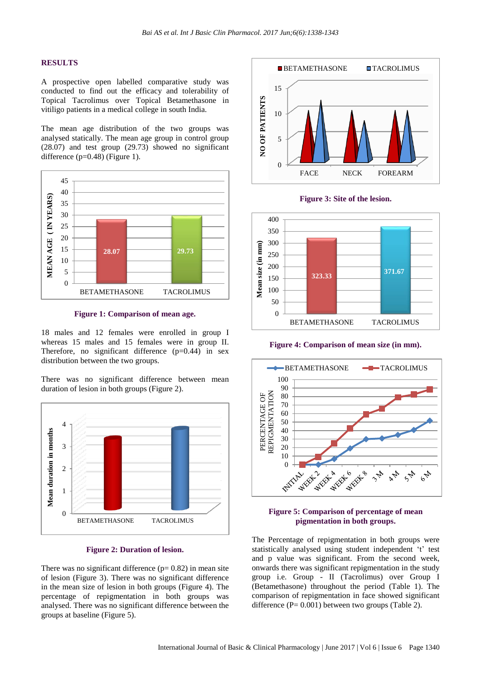#### **RESULTS**

A prospective open labelled comparative study was conducted to find out the efficacy and tolerability of Topical Tacrolimus over Topical Betamethasone in vitiligo patients in a medical college in south India.

The mean age distribution of the two groups was analysed statically. The mean age group in control group (28.07) and test group (29.73) showed no significant difference  $(p=0.48)$  (Figure 1).



**Figure 1: Comparison of mean age.**

18 males and 12 females were enrolled in group I whereas 15 males and 15 females were in group II. Therefore, no significant difference  $(p=0.44)$  in sex distribution between the two groups.

There was no significant difference between mean duration of lesion in both groups (Figure 2).



**Figure 2: Duration of lesion.**

There was no significant difference  $(p= 0.82)$  in mean site of lesion (Figure 3). There was no significant difference in the mean size of lesion in both groups (Figure 4). The percentage of repigmentation in both groups was analysed. There was no significant difference between the groups at baseline (Figure 5).



**Figure 3: Site of the lesion.**



**Figure 4: Comparison of mean size (in mm).**



#### **Figure 5: Comparison of percentage of mean pigmentation in both groups.**

The Percentage of repigmentation in both groups were statistically analysed using student independent 't' test and p value was significant. From the second week, onwards there was significant repigmentation in the study group i.e. Group - II (Tacrolimus) over Group I (Betamethasone) throughout the period (Table 1). The comparison of repigmentation in face showed significant difference  $(P= 0.001)$  between two groups (Table 2).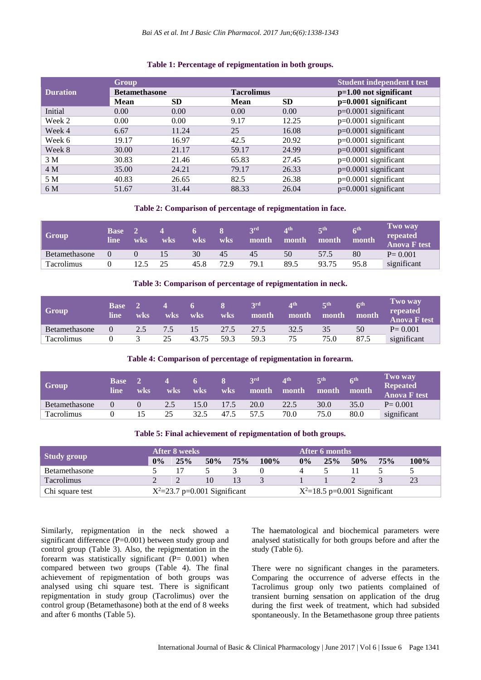#### **Table 1: Percentage of repigmentation in both groups.**

|                 | <b>Group</b>         |           |                   |           | <b>Student independent t test</b> |  |  |
|-----------------|----------------------|-----------|-------------------|-----------|-----------------------------------|--|--|
| <b>Duration</b> | <b>Betamethasone</b> |           | <b>Tacrolimus</b> |           | $p=1.00$ not significant          |  |  |
|                 | <b>Mean</b>          | <b>SD</b> |                   | <b>SD</b> | $p=0.0001$ significant            |  |  |
| Initial         | 0.00                 | 0.00      | 0.00              | 0.00      | $p=0.0001$ significant            |  |  |
| Week 2          | 0.00                 | 0.00      | 9.17              | 12.25     | $p=0.0001$ significant            |  |  |
| Week 4          | 6.67                 | 11.24     | 25                | 16.08     | $p=0.0001$ significant            |  |  |
| Week 6          | 19.17                | 16.97     | 42.5              | 20.92     | $p=0.0001$ significant            |  |  |
| Week 8          | 30.00                | 21.17     | 59.17             | 24.99     | $p=0.0001$ significant            |  |  |
| 3 M             | 30.83                | 21.46     | 65.83             | 27.45     | $p=0.0001$ significant            |  |  |
| 4 M             | 35.00                | 24.21     | 79.17             | 26.33     | $p=0.0001$ significant            |  |  |
| 5 M             | 40.83                | 26.65     | 82.5              | 26.38     | $p=0.0001$ significant            |  |  |
| 6 M             | 51.67                | 31.44     | 88.33             | 26.04     | $p=0.0001$ significant            |  |  |

#### **Table 2: Comparison of percentage of repigmentation in face.**

| Group         | Base 2<br>line | wks      | wks | $\sqrt{6}$<br>wks | wks  | 2rd<br>month | $\mathbf{\Lambda}$ th<br>month | $\mathbf{F}$ th<br>month | $\mathbf{K}$ th<br>month | Two way<br>repeated<br><b>Anova F</b> test |
|---------------|----------------|----------|-----|-------------------|------|--------------|--------------------------------|--------------------------|--------------------------|--------------------------------------------|
| Betamethasone | $\Omega$       | $\Omega$ |     | 30                | 45   | 45           | 50                             | 57.5                     | 80                       | $P = 0.001$                                |
| Tacrolimus    |                | 12.5     | 25  | 45.8              | 72.9 | 79.1         | 89.5                           | 93.75                    | 95.8                     | significant                                |

#### **Table 3: Comparison of percentage of repigmentation in neck.**

| <b>Group</b>  | 'Base :<br>line | wks | wks | 6.<br>wks | wks  | $\mathbf{r}$<br>month | ⊿th<br>month | $\mathbf{\in}$ th<br>month | f<br>month | <b>Two way</b><br>repeated<br><b>Anova F test</b> |
|---------------|-----------------|-----|-----|-----------|------|-----------------------|--------------|----------------------------|------------|---------------------------------------------------|
| Betamethasone |                 | 2.5 | 7.5 | 15        | 27.5 | 27.5                  | 32.5         | 35                         | 50         | $P = 0.001$                                       |
| Tacrolimus    |                 |     | 25  | 43.75     | 59.3 | 59.3                  |              | 75.0                       | 87.5       | significant                                       |

#### **Table 4: Comparison of percentage of repigmentation in forearm.**

| <b>Group</b>      | <b>Base</b><br>line | wks | wks | wks  | 87<br>wks | 2rd<br>month. | $\mathbf{A}^{\text{th}}$<br>month | $\mathbf{r}$ th<br>month | $\mathcal{L}^{\text{th}}$<br>month | Two way<br><b>Repeated</b><br><b>Anova F test</b> |
|-------------------|---------------------|-----|-----|------|-----------|---------------|-----------------------------------|--------------------------|------------------------------------|---------------------------------------------------|
| Betamethasone     |                     |     | 2.5 | 15.0 | 17.5      | 20.0          | 22.5                              | 30.0                     | 35.0                               | $P = 0.001$                                       |
| <b>Tacrolimus</b> |                     |     | 25  | 32.5 | 47.5      | 57.5          | 70.0                              | 75.0                     | 80.0                               | significant                                       |

#### **Table 5: Final achievement of repigmentation of both groups.**

|                      |       | After 8 weeks                    |     |     |         | After 6 months                   |     |     |     |      |  |
|----------------------|-------|----------------------------------|-----|-----|---------|----------------------------------|-----|-----|-----|------|--|
| Study group          | $0\%$ | 25%                              | 50% | 75% | $100\%$ | $0\%$                            | 25% | 50% | 75% | 100% |  |
| <b>Betamethasone</b> |       |                                  |     |     |         |                                  |     |     |     |      |  |
| <b>Tacrolimus</b>    |       |                                  | 10  |     |         |                                  |     |     |     | 23   |  |
| Chi square test      |       | $X^2 = 23.7$ p=0.001 Significant |     |     |         | $X^2 = 18.5$ p=0.001 Significant |     |     |     |      |  |

Similarly, repigmentation in the neck showed a significant difference (P=0.001) between study group and control group (Table 3). Also, the repigmentation in the forearm was statistically significant  $( P = 0.001 )$  when compared between two groups (Table 4). The final achievement of repigmentation of both groups was analysed using chi square test. There is significant repigmentation in study group (Tacrolimus) over the control group (Betamethasone) both at the end of 8 weeks and after 6 months (Table 5).

The haematological and biochemical parameters were analysed statistically for both groups before and after the study (Table 6).

There were no significant changes in the parameters. Comparing the occurrence of adverse effects in the Tacrolimus group only two patients complained of transient burning sensation on application of the drug during the first week of treatment, which had subsided spontaneously. In the Betamethasone group three patients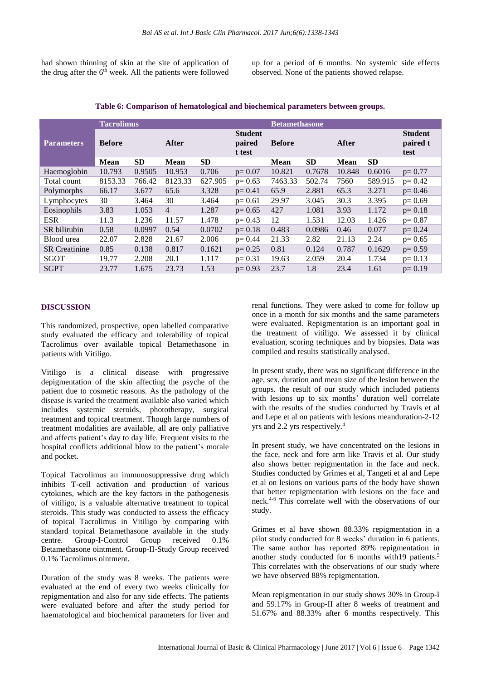had shown thinning of skin at the site of application of the drug after the 6<sup>th</sup> week. All the patients were followed

up for a period of 6 months. No systemic side effects observed. None of the patients showed relapse.

|                      | <b>Tacrolimus</b> |           |                |           |                                    | <b>Betamethasone</b> |           |        |                                    |            |  |
|----------------------|-------------------|-----------|----------------|-----------|------------------------------------|----------------------|-----------|--------|------------------------------------|------------|--|
| <b>Parameters</b>    | <b>Before</b>     |           | After          |           | <b>Student</b><br>paired<br>t test | <b>Before</b>        |           | After  | <b>Student</b><br>paired t<br>test |            |  |
|                      | Mean              | <b>SD</b> | <b>Mean</b>    | <b>SD</b> |                                    | <b>Mean</b>          | <b>SD</b> | Mean   | <b>SD</b>                          |            |  |
| Haemoglobin          | 10.793            | 0.9505    | 10.953         | 0.706     | $p=0.07$                           | 10.821               | 0.7678    | 10.848 | 0.6016                             | $p = 0.77$ |  |
| Total count          | 8153.33           | 766.42    | 8123.33        | 627.905   | $p = 0.63$                         | 7463.33              | 502.74    | 7560   | 589.915                            | $p = 0.42$ |  |
| Polymorphs           | 66.17             | 3.677     | 65.6           | 3.328     | $p = 0.41$                         | 65.9                 | 2.881     | 65.3   | 3.271                              | $p = 0.46$ |  |
| Lymphocytes          | 30                | 3.464     | 30             | 3.464     | $p = 0.61$                         | 29.97                | 3.045     | 30.3   | 3.395                              | $p=0.69$   |  |
| Eosinophils          | 3.83              | 1.053     | $\overline{4}$ | 1.287     | $p = 0.65$                         | 427                  | 1.081     | 3.93   | 1.172                              | $p = 0.18$ |  |
| <b>ESR</b>           | 11.3              | 1.236     | 11.57          | 1.478     | $p = 0.43$                         | 12                   | 1.531     | 12.03  | 1.426                              | $p=0.87$   |  |
| SR bilirubin         | 0.58              | 0.0997    | 0.54           | 0.0702    | $p = 0.18$                         | 0.483                | 0.0986    | 0.46   | 0.077                              | $p = 0.24$ |  |
| Blood urea           | 22.07             | 2.828     | 21.67          | 2.006     | $p = 0.44$                         | 21.33                | 2.82      | 21.13  | 2.24                               | $p=0.65$   |  |
| <b>SR</b> Creatinine | 0.85              | 0.138     | 0.817          | 0.1621    | $p = 0.25$                         | 0.81                 | 0.124     | 0.787  | 0.1629                             | $p=0.59$   |  |
| SGOT                 | 19.77             | 2.208     | 20.1           | 1.117     | $p = 0.31$                         | 19.63                | 2.059     | 20.4   | 1.734                              | $p = 0.13$ |  |
| <b>SGPT</b>          | 23.77             | 1.675     | 23.73          | 1.53      | $p = 0.93$                         | 23.7                 | 1.8       | 23.4   | 1.61                               | $p = 0.19$ |  |

#### **Table 6: Comparison of hematological and biochemical parameters between groups.**

#### **DISCUSSION**

This randomized, prospective, open labelled comparative study evaluated the efficacy and tolerability of topical Tacrolimus over available topical Betamethasone in patients with Vitiligo.

Vitiligo is a clinical disease with progressive depigmentation of the skin affecting the psyche of the patient due to cosmetic reasons. As the pathology of the disease is varied the treatment available also varied which includes systemic steroids, phototherapy, surgical treatment and topical treatment. Though large numbers of treatment modalities are available, all are only palliative and affects patient's day to day life. Frequent visits to the hospital conflicts additional blow to the patient's morale and pocket.

Topical Tacrolimus an immunosuppressive drug which inhibits T-cell activation and production of various cytokines, which are the key factors in the pathogenesis of vitiligo, is a valuable alternative treatment to topical steroids. This study was conducted to assess the efficacy of topical Tacrolimus in Vitiligo by comparing with standard topical Betamethasone available in the study centre. Group-I-Control Group received 0.1% Betamethasone ointment. Group-II-Study Group received 0.1% Tacrolimus ointment.

Duration of the study was 8 weeks. The patients were evaluated at the end of every two weeks clinically for repigmentation and also for any side effects. The patients were evaluated before and after the study period for haematological and biochemical parameters for liver and renal functions. They were asked to come for follow up once in a month for six months and the same parameters were evaluated. Repigmentation is an important goal in the treatment of vitiligo. We assessed it by clinical evaluation, scoring techniques and by biopsies. Data was compiled and results statistically analysed.

In present study, there was no significant difference in the age, sex, duration and mean size of the lesion between the groups. the result of our study which included patients with lesions up to six months' duration well correlate with the results of the studies conducted by Travis et al and Lepe et al on patients with lesions meanduration-2-12 yrs and 2.2 yrs respectively.<sup>4</sup>

In present study, we have concentrated on the lesions in the face, neck and fore arm like Travis et al. Our study also shows better repigmentation in the face and neck. Studies conducted by Grimes et al, Tangeti et al and Lepe et al on lesions on various parts of the body have shown that better repigmentation with lesions on the face and neck. 4-6 This correlate well with the observations of our study.

Grimes et al have shown 88.33% repigmentation in a pilot study conducted for 8 weeks' duration in 6 patients. The same author has reported 89% repigmentation in another study conducted for 6 months with19 patients. 5 This correlates with the observations of our study where we have observed 88% repigmentation.

Mean repigmentation in our study shows 30% in Group-I and 59.17% in Group-II after 8 weeks of treatment and 51.67% and 88.33% after 6 months respectively. This